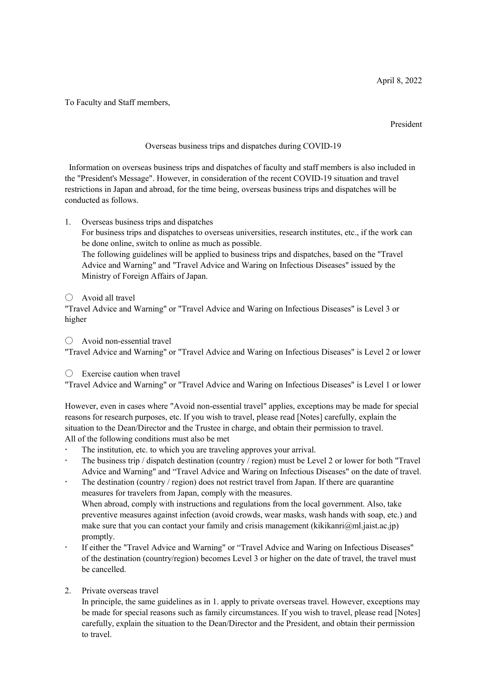To Faculty and Staff members,

President

Overseas business trips and dispatches during COVID-19

Information on overseas business trips and dispatches of faculty and staff members is also included in the "President's Message". However, in consideration of the recent COVID-19 situation and travel restrictions in Japan and abroad, for the time being, overseas business trips and dispatches will be conducted as follows.

1. Overseas business trips and dispatches

For business trips and dispatches to overseas universities, research institutes, etc., if the work can be done online, switch to online as much as possible.

The following guidelines will be applied to business trips and dispatches, based on the "Travel Advice and Warning" and "Travel Advice and Waring on Infectious Diseases" issued by the Ministry of Foreign Affairs of Japan.

 $\bigcirc$  Avoid all travel

"Travel Advice and Warning" or "Travel Advice and Waring on Infectious Diseases" is Level 3 or higher

○ Avoid non-essential travel "Travel Advice and Warning" or "Travel Advice and Waring on Infectious Diseases" is Level 2 or lower

 $\bigcirc$  Exercise caution when travel

"Travel Advice and Warning" or "Travel Advice and Waring on Infectious Diseases" is Level 1 or lower

However, even in cases where "Avoid non-essential travel" applies, exceptions may be made for special reasons for research purposes, etc. If you wish to travel, please read [Notes] carefully, explain the situation to the Dean/Director and the Trustee in charge, and obtain their permission to travel. All of the following conditions must also be met

- The institution, etc. to which you are traveling approves your arrival.
- The business trip / dispatch destination (country / region) must be Level 2 or lower for both "Travel Advice and Warning" and "Travel Advice and Waring on Infectious Diseases" on the date of travel.
- The destination (country / region) does not restrict travel from Japan. If there are quarantine measures for travelers from Japan, comply with the measures. When abroad, comply with instructions and regulations from the local government. Also, take

preventive measures against infection (avoid crowds, wear masks, wash hands with soap, etc.) and make sure that you can contact your family and crisis management (kikikanri $(\alpha)$ ml.jaist.ac.jp) promptly.

- If either the "Travel Advice and Warning" or "Travel Advice and Waring on Infectious Diseases" of the destination (country/region) becomes Level 3 or higher on the date of travel, the travel must be cancelled.
- 2. Private overseas travel

In principle, the same guidelines as in 1. apply to private overseas travel. However, exceptions may be made for special reasons such as family circumstances. If you wish to travel, please read [Notes] carefully, explain the situation to the Dean/Director and the President, and obtain their permission to travel.